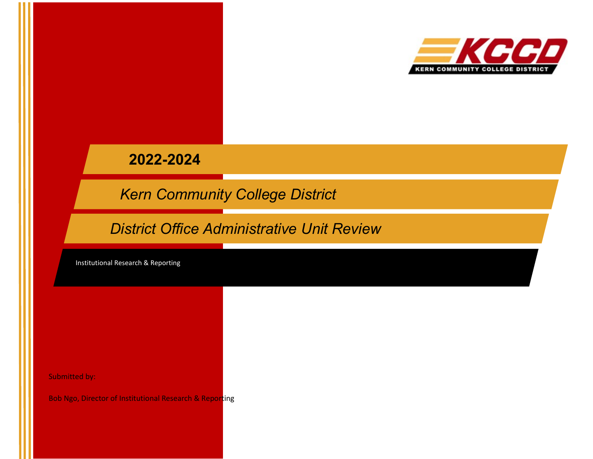

**2022-2024**

*Kern Community College District*

*District Office Administrative Unit Review*

Institutional Research & Reporting

Submitted by:

Bob Ngo, Director of Institutional Research & Reporting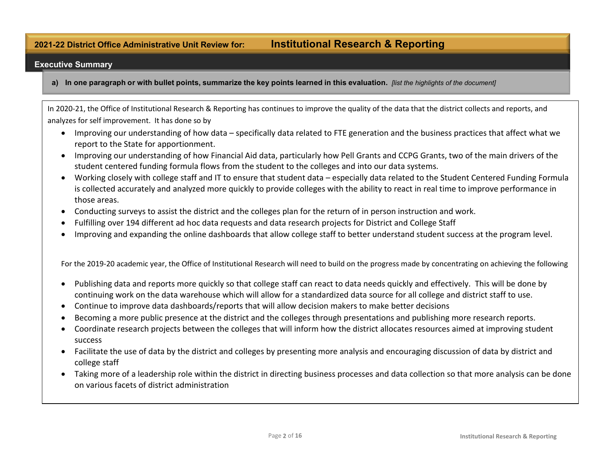# **2021-22 District Office Administrative Unit Review for: Institutional Research & Reporting**

#### **Executive Summary**

a) In one paragraph or with bullet points, summarize the key points learned in this evaluation. *Jist the highlights of the document]* 

In 2020-21, the Office of Institutional Research & Reporting has continues to improve the quality of the data that the district collects and reports, and analyzes for self improvement. It has done so by

- Improving our understanding of how data specifically data related to FTE generation and the business practices that affect what we report to the State for apportionment.
- Improving our understanding of how Financial Aid data, particularly how Pell Grants and CCPG Grants, two of the main drivers of the student centered funding formula flows from the student to the colleges and into our data systems.
- Working closely with college staff and IT to ensure that student data especially data related to the Student Centered Funding Formula is collected accurately and analyzed more quickly to provide colleges with the ability to react in real time to improve performance in those areas.
- Conducting surveys to assist the district and the colleges plan for the return of in person instruction and work.
- Fulfilling over 194 different ad hoc data requests and data research projects for District and College Staff
- Improving and expanding the online dashboards that allow college staff to better understand student success at the program level.

For the 2019-20 academic year, the Office of Institutional Research will need to build on the progress made by concentrating on achieving the following

- Publishing data and reports more quickly so that college staff can react to data needs quickly and effectively. This will be done by continuing work on the data warehouse which will allow for a standardized data source for all college and district staff to use.
- Continue to improve data dashboards/reports that will allow decision makers to make better decisions
- Becoming a more public presence at the district and the colleges through presentations and publishing more research reports.
- Coordinate research projects between the colleges that will inform how the district allocates resources aimed at improving student success
- Facilitate the use of data by the district and colleges by presenting more analysis and encouraging discussion of data by district and college staff
- Taking more of a leadership role within the district in directing business processes and data collection so that more analysis can be done on various facets of district administration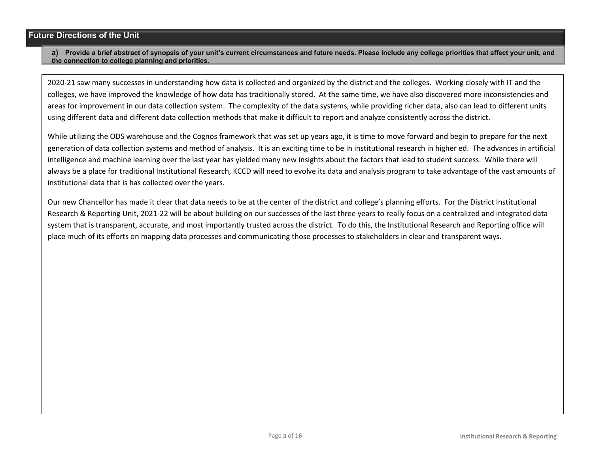#### **Future Directions of the Unit**

#### **a) Provide a brief abstract of synopsis of your unit's current circumstances and future needs. Please include any college priorities that affect your unit, and the connection to college planning and priorities.**

2020-21 saw many successes in understanding how data is collected and organized by the district and the colleges. Working closely with IT and the colleges, we have improved the knowledge of how data has traditionally stored. At the same time, we have also discovered more inconsistencies and areas for improvement in our data collection system. The complexity of the data systems, while providing richer data, also can lead to different units using different data and different data collection methods that make it difficult to report and analyze consistently across the district.

While utilizing the ODS warehouse and the Cognos framework that was set up years ago, it is time to move forward and begin to prepare for the next generation of data collection systems and method of analysis. It is an exciting time to be in institutional research in higher ed. The advances in artificial intelligence and machine learning over the last year has yielded many new insights about the factors that lead to student success. While there will always be a place for traditional Institutional Research, KCCD will need to evolve its data and analysis program to take advantage of the vast amounts of institutional data that is has collected over the years.

Our new Chancellor has made it clear that data needs to be at the center of the district and college's planning efforts. For the District Institutional Research & Reporting Unit, 2021-22 will be about building on our successes of the last three years to really focus on a centralized and integrated data system that is transparent, accurate, and most importantly trusted across the district. To do this, the Institutional Research and Reporting office will place much of its efforts on mapping data processes and communicating those processes to stakeholders in clear and transparent ways.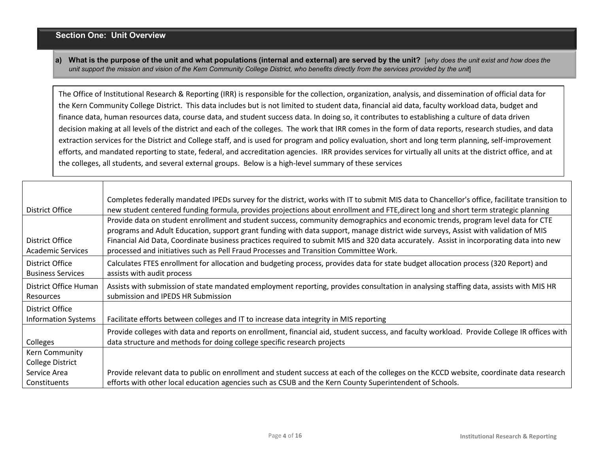## **Section One: Unit Overview**

a) What is the purpose of the unit and what populations (internal and external) are served by the unit? [why does the unit exist and how does the unit support the mission and vision of the Kern Community College District, who benefits directly from the services provided by the unit]

The Office of Institutional Research & Reporting (IRR) is responsible for the collection, organization, analysis, and dissemination of official data for the Kern Community College District. This data includes but is not limited to student data, financial aid data, faculty workload data, budget and finance data, human resources data, course data, and student success data. In doing so, it contributes to establishing a culture of data driven decision making at all levels of the district and each of the colleges. The work that IRR comes in the form of data reports, research studies, and data extraction services for the District and College staff, and is used for program and policy evaluation, short and long term planning, self-improvement efforts, and mandated reporting to state, federal, and accreditation agencies. IRR provides services for virtually all units at the district office, and at the colleges, all students, and several external groups. Below is a high-level summary of these services

| District Office                                                           | Completes federally mandated IPEDs survey for the district, works with IT to submit MIS data to Chancellor's office, facilitate transition to<br>new student centered funding formula, provides projections about enrollment and FTE, direct long and short term strategic planning                                                                                                                                                                                                                      |
|---------------------------------------------------------------------------|----------------------------------------------------------------------------------------------------------------------------------------------------------------------------------------------------------------------------------------------------------------------------------------------------------------------------------------------------------------------------------------------------------------------------------------------------------------------------------------------------------|
| District Office<br><b>Academic Services</b>                               | Provide data on student enrollment and student success, community demographics and economic trends, program level data for CTE<br>programs and Adult Education, support grant funding with data support, manage district wide surveys, Assist with validation of MIS<br>Financial Aid Data, Coordinate business practices required to submit MIS and 320 data accurately. Assist in incorporating data into new<br>processed and initiatives such as Pell Fraud Processes and Transition Committee Work. |
| District Office<br><b>Business Services</b>                               | Calculates FTES enrollment for allocation and budgeting process, provides data for state budget allocation process (320 Report) and<br>assists with audit process                                                                                                                                                                                                                                                                                                                                        |
| District Office Human<br>Resources                                        | Assists with submission of state mandated employment reporting, provides consultation in analysing staffing data, assists with MIS HR<br>submission and IPEDS HR Submission                                                                                                                                                                                                                                                                                                                              |
| District Office<br><b>Information Systems</b>                             | Facilitate efforts between colleges and IT to increase data integrity in MIS reporting                                                                                                                                                                                                                                                                                                                                                                                                                   |
| Colleges                                                                  | Provide colleges with data and reports on enrollment, financial aid, student success, and faculty workload. Provide College IR offices with<br>data structure and methods for doing college specific research projects                                                                                                                                                                                                                                                                                   |
| Kern Community<br><b>College District</b><br>Service Area<br>Constituents | Provide relevant data to public on enrollment and student success at each of the colleges on the KCCD website, coordinate data research<br>efforts with other local education agencies such as CSUB and the Kern County Superintendent of Schools.                                                                                                                                                                                                                                                       |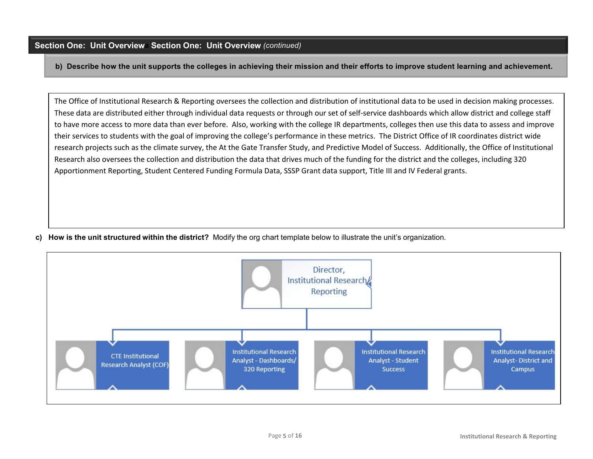**b) Describe how the unit supports the colleges in achieving their mission and their efforts to improve student learning and achievement.** 

The Office of Institutional Research & Reporting oversees the collection and distribution of institutional data to be used in decision making processes. These data are distributed either through individual data requests or through our set of self-service dashboards which allow district and college staff to have more access to more data than ever before. Also, working with the college IR departments, colleges then use this data to assess and improve their services to students with the goal of improving the college's performance in these metrics. The District Office of IR coordinates district wide research projects such as the climate survey, the At the Gate Transfer Study, and Predictive Model of Success. Additionally, the Office of Institutional Research also oversees the collection and distribution the data that drives much of the funding for the district and the colleges, including 320 Apportionment Reporting, Student Centered Funding Formula Data, SSSP Grant data support, Title III and IV Federal grants.

**c) How is the unit structured within the district?** Modify the org chart template below to illustrate the unit's organization.

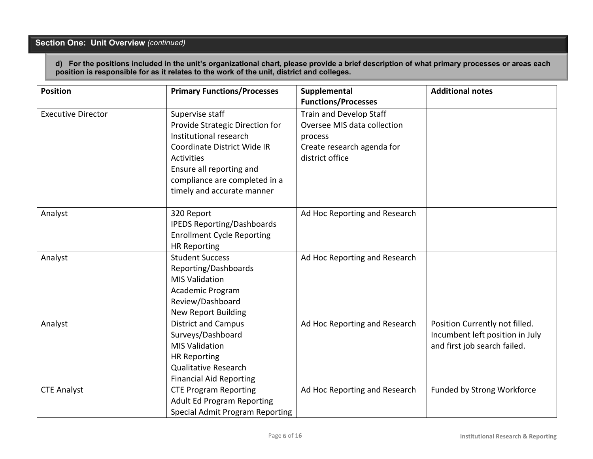# **Section One: Unit Overview** *(continued)*

**d) For the positions included in the unit's organizational chart, please provide a brief description of what primary processes or areas each position is responsible for as it relates to the work of the unit, district and colleges.**

| <b>Position</b>           | <b>Primary Functions/Processes</b>                                                                                                                                                                                          | Supplemental<br><b>Functions/Processes</b>                                                                         | <b>Additional notes</b>                                                                           |
|---------------------------|-----------------------------------------------------------------------------------------------------------------------------------------------------------------------------------------------------------------------------|--------------------------------------------------------------------------------------------------------------------|---------------------------------------------------------------------------------------------------|
| <b>Executive Director</b> | Supervise staff<br>Provide Strategic Direction for<br>Institutional research<br>Coordinate District Wide IR<br><b>Activities</b><br>Ensure all reporting and<br>compliance are completed in a<br>timely and accurate manner | Train and Develop Staff<br>Oversee MIS data collection<br>process<br>Create research agenda for<br>district office |                                                                                                   |
| Analyst                   | 320 Report<br><b>IPEDS Reporting/Dashboards</b><br><b>Enrollment Cycle Reporting</b><br><b>HR Reporting</b>                                                                                                                 | Ad Hoc Reporting and Research                                                                                      |                                                                                                   |
| Analyst                   | <b>Student Success</b><br>Reporting/Dashboards<br><b>MIS Validation</b><br>Academic Program<br>Review/Dashboard<br><b>New Report Building</b>                                                                               | Ad Hoc Reporting and Research                                                                                      |                                                                                                   |
| Analyst                   | <b>District and Campus</b><br>Surveys/Dashboard<br><b>MIS Validation</b><br><b>HR Reporting</b><br><b>Qualitative Research</b><br><b>Financial Aid Reporting</b>                                                            | Ad Hoc Reporting and Research                                                                                      | Position Currently not filled.<br>Incumbent left position in July<br>and first job search failed. |
| <b>CTE Analyst</b>        | <b>CTE Program Reporting</b><br><b>Adult Ed Program Reporting</b><br><b>Special Admit Program Reporting</b>                                                                                                                 | Ad Hoc Reporting and Research                                                                                      | Funded by Strong Workforce                                                                        |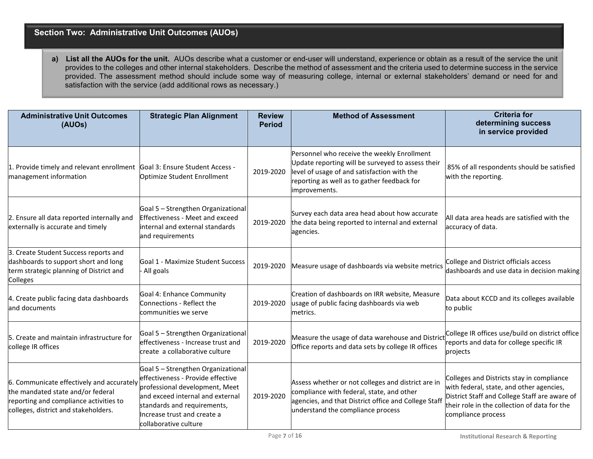## **Section Two: Administrative Unit Outcomes (AUOs)**

**a) List all the AUOs for the unit.** AUOs describe what a customer or end-user will understand, experience or obtain as a result of the service the unit provides to the colleges and other internal stakeholders. Describe the method of assessment and the criteria used to determine success in the service provided. The assessment method should include some way of measuring college, internal or external stakeholders' demand or need for and satisfaction with the service (add additional rows as necessary.)

| <b>Administrative Unit Outcomes</b><br>(AUOs)                                                                                                                    | <b>Strategic Plan Alignment</b>                                                                                                                                                                                                      | <b>Review</b><br><b>Period</b> | <b>Method of Assessment</b>                                                                                                                                                                                     | <b>Criteria for</b><br>determining success<br>in service provided                                                                                                                                            |
|------------------------------------------------------------------------------------------------------------------------------------------------------------------|--------------------------------------------------------------------------------------------------------------------------------------------------------------------------------------------------------------------------------------|--------------------------------|-----------------------------------------------------------------------------------------------------------------------------------------------------------------------------------------------------------------|--------------------------------------------------------------------------------------------------------------------------------------------------------------------------------------------------------------|
| 1. Provide timely and relevant enrollment Goal 3: Ensure Student Access -<br>management information                                                              | Optimize Student Enrollment                                                                                                                                                                                                          | 2019-2020                      | Personnel who receive the weekly Enrollment<br>Update reporting will be surveyed to assess their<br>level of usage of and satisfaction with the<br>reporting as well as to gather feedback for<br>improvements. | 85% of all respondents should be satisfied<br>with the reporting.                                                                                                                                            |
| 2. Ensure all data reported internally and<br>externally is accurate and timely                                                                                  | Goal 5 - Strengthen Organizational<br><b>Effectiveness - Meet and exceed</b><br>internal and external standards<br>and requirements                                                                                                  | 2019-2020                      | Survey each data area head about how accurate<br>the data being reported to internal and external<br>agencies.                                                                                                  | All data area heads are satisfied with the<br>accuracy of data.                                                                                                                                              |
| 3. Create Student Success reports and<br>dashboards to support short and long<br>term strategic planning of District and<br>Colleges                             | Goal 1 - Maximize Student Success<br>All goals                                                                                                                                                                                       | 2019-2020                      | Measure usage of dashboards via website metrics                                                                                                                                                                 | College and District officials access<br>dashboards and use data in decision making                                                                                                                          |
| 4. Create public facing data dashboards<br>and documents                                                                                                         | Goal 4: Enhance Community<br>Connections - Reflect the<br>communities we serve                                                                                                                                                       | 2019-2020                      | Creation of dashboards on IRR website, Measure<br>usage of public facing dashboards via web<br>metrics.                                                                                                         | Data about KCCD and its colleges available<br>to public                                                                                                                                                      |
| 5. Create and maintain infrastructure for<br>college IR offices                                                                                                  | Goal 5 - Strengthen Organizational<br>effectiveness - Increase trust and<br>create a collaborative culture                                                                                                                           | 2019-2020                      | Measure the usage of data warehouse and District<br>Office reports and data sets by college IR offices                                                                                                          | College IR offices use/build on district office<br>reports and data for college specific IR<br>projects                                                                                                      |
| 6. Communicate effectively and accurately<br>the mandated state and/or federal<br>reporting and compliance activities to<br>colleges, district and stakeholders. | Goal 5 - Strengthen Organizational<br>effectiveness - Provide effective<br>professional development, Meet<br>and exceed internal and external<br>standards and requirements,<br>Increase trust and create a<br>collaborative culture | 2019-2020                      | Assess whether or not colleges and district are in<br>compliance with federal, state, and other<br>agencies, and that District office and College Staff<br>understand the compliance process                    | Colleges and Districts stay in compliance<br>with federal, state, and other agencies,<br>District Staff and College Staff are aware of<br>their role in the collection of data for the<br>compliance process |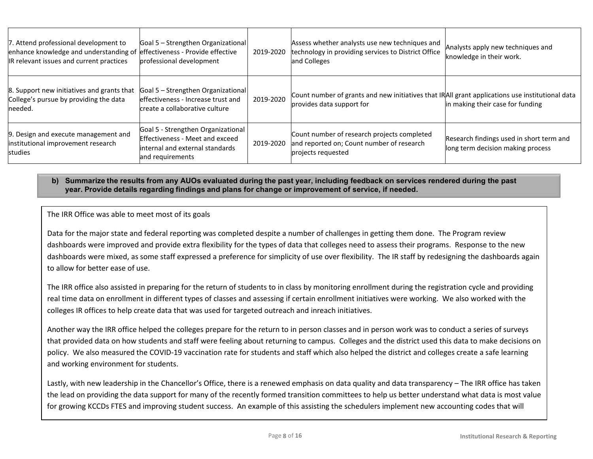| 7. Attend professional development to<br>enhance knowledge and understanding of effectiveness - Provide effective<br>IR relevant issues and current practices | Goal 5 - Strengthen Organizational<br>professional development                                                                      | 2019-2020 | Assess whether analysts use new techniques and<br>technology in providing services to District Office<br>and Colleges        | Analysts apply new techniques and<br>knowledge in their work.                 |
|---------------------------------------------------------------------------------------------------------------------------------------------------------------|-------------------------------------------------------------------------------------------------------------------------------------|-----------|------------------------------------------------------------------------------------------------------------------------------|-------------------------------------------------------------------------------|
| 8. Support new initiatives and grants that<br>College's pursue by providing the data<br>needed.                                                               | Goal 5 - Strengthen Organizational<br>effectiveness - Increase trust and<br>create a collaborative culture                          | 2019-2020 | Count number of grants and new initiatives that IRAII grant applications use institutional data<br>provides data support for | in making their case for funding                                              |
| 9. Design and execute management and<br>institutional improvement research<br>studies                                                                         | Goal 5 - Strengthen Organizational<br><b>Effectiveness - Meet and exceed</b><br>internal and external standards<br>and requirements | 2019-2020 | Count number of research projects completed<br>and reported on; Count number of research<br>projects requested               | Research findings used in short term and<br>long term decision making process |

#### **b) Summarize the results from any AUOs evaluated during the past year, including feedback on services rendered during the past year. Provide details regarding findings and plans for change or improvement of service, if needed.**

## The IRR Office was able to meet most of its goals

Data for the major state and federal reporting was completed despite a number of challenges in getting them done. The Program review dashboards were improved and provide extra flexibility for the types of data that colleges need to assess their programs. Response to the new dashboards were mixed, as some staff expressed a preference for simplicity of use over flexibility. The IR staff by redesigning the dashboards again to allow for better ease of use.

The IRR office also assisted in preparing for the return of students to in class by monitoring enrollment during the registration cycle and providing real time data on enrollment in different types of classes and assessing if certain enrollment initiatives were working. We also worked with the colleges IR offices to help create data that was used for targeted outreach and inreach initiatives.

Another way the IRR office helped the colleges prepare for the return to in person classes and in person work was to conduct a series of surveys that provided data on how students and staff were feeling about returning to campus. Colleges and the district used this data to make decisions on policy. We also measured the COVID-19 vaccination rate for students and staff which also helped the district and colleges create a safe learning and working environment for students.

Lastly, with new leadership in the Chancellor's Office, there is a renewed emphasis on data quality and data transparency – The IRR office has taken the lead on providing the data support for many of the recently formed transition committees to help us better understand what data is most value for growing KCCDs FTES and improving student success. An example of this assisting the schedulers implement new accounting codes that will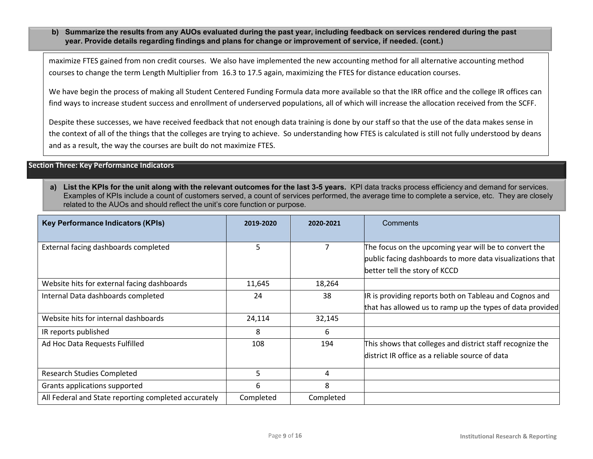**b) Summarize the results from any AUOs evaluated during the past year, including feedback on services rendered during the past year. Provide details regarding findings and plans for change or improvement of service, if needed. (cont.)**

maximize FTES gained from non credit courses. We also have implemented the new accounting method for all alternative accounting method courses to change the term Length Multiplier from 16.3 to 17.5 again, maximizing the FTES for distance education courses.

We have begin the process of making all Student Centered Funding Formula data more available so that the IRR office and the college IR offices can find ways to increase student success and enrollment of underserved populations, all of which will increase the allocation received from the SCFF.

Despite these successes, we have received feedback that not enough data training is done by our staff so that the use of the data makes sense in the context of all of the things that the colleges are trying to achieve. So understanding how FTES is calculated is still not fully understood by deans and as a result, the way the courses are built do not maximize FTES.

#### **Section Three: Key Performance Indicators**

a) List the KPIs for the unit along with the relevant outcomes for the last 3-5 years. KPI data tracks process efficiency and demand for services. Examples of KPIs include a count of customers served, a count of services performed, the average time to complete a service, etc. They are closely related to the AUOs and should reflect the unit's core function or purpose.

| <b>Key Performance Indicators (KPIs)</b>             | 2019-2020 | 2020-2021 | Comments                                                                                                                                            |
|------------------------------------------------------|-----------|-----------|-----------------------------------------------------------------------------------------------------------------------------------------------------|
| External facing dashboards completed                 | 5         |           | The focus on the upcoming year will be to convert the<br>public facing dashboards to more data visualizations that<br>better tell the story of KCCD |
| Website hits for external facing dashboards          | 11,645    | 18,264    |                                                                                                                                                     |
| Internal Data dashboards completed                   | 24        | 38        | IR is providing reports both on Tableau and Cognos and                                                                                              |
|                                                      |           |           | that has allowed us to ramp up the types of data provided                                                                                           |
| Website hits for internal dashboards                 | 24,114    | 32,145    |                                                                                                                                                     |
| IR reports published                                 | 8         | 6         |                                                                                                                                                     |
| Ad Hoc Data Requests Fulfilled                       | 108       | 194       | This shows that colleges and district staff recognize the                                                                                           |
|                                                      |           |           | district IR office as a reliable source of data                                                                                                     |
| <b>Research Studies Completed</b>                    | 5         | 4         |                                                                                                                                                     |
| Grants applications supported                        | 6         | 8         |                                                                                                                                                     |
| All Federal and State reporting completed accurately | Completed | Completed |                                                                                                                                                     |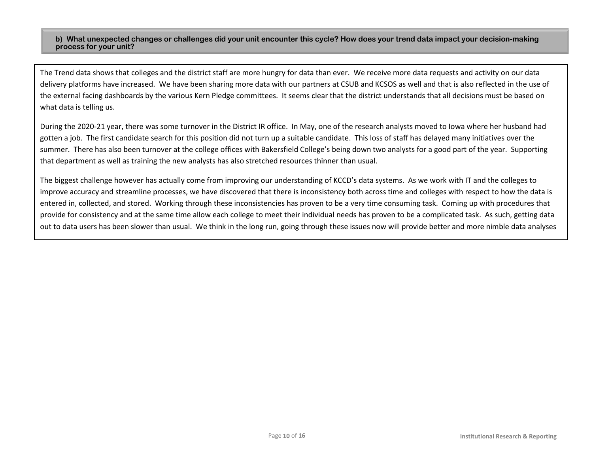#### **b) What unexpected changes or challenges did your unit encounter this cycle? How does your trend data impact your decision-making process for your unit?**

The Trend data shows that colleges and the district staff are more hungry for data than ever. We receive more data requests and activity on our data delivery platforms have increased. We have been sharing more data with our partners at CSUB and KCSOS as well and that is also reflected in the use of the external facing dashboards by the various Kern Pledge committees. It seems clear that the district understands that all decisions must be based on what data is telling us.

During the 2020-21 year, there was some turnover in the District IR office. In May, one of the research analysts moved to Iowa where her husband had gotten a job. The first candidate search for this position did not turn up a suitable candidate. This loss of staff has delayed many initiatives over the summer. There has also been turnover at the college offices with Bakersfield College's being down two analysts for a good part of the year. Supporting that department as well as training the new analysts has also stretched resources thinner than usual.

The biggest challenge however has actually come from improving our understanding of KCCD's data systems. As we work with IT and the colleges to improve accuracy and streamline processes, we have discovered that there is inconsistency both across time and colleges with respect to how the data is entered in, collected, and stored. Working through these inconsistencies has proven to be a very time consuming task. Coming up with procedures that provide for consistency and at the same time allow each college to meet their individual needs has proven to be a complicated task. As such, getting data out to data users has been slower than usual. We think in the long run, going through these issues now will provide better and more nimble data analyses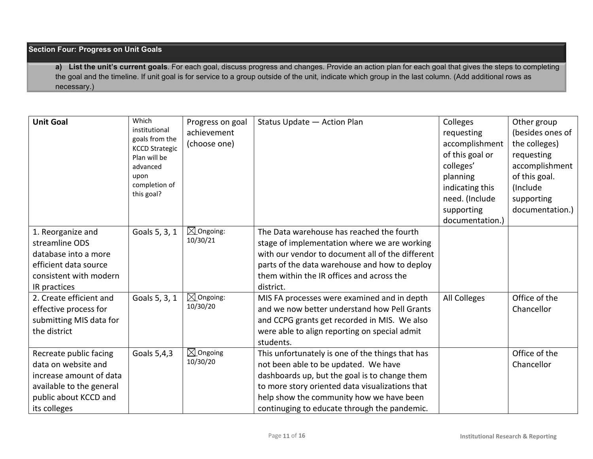## **Section Four: Progress on Unit Goals**

**a) List the unit's current goals**. For each goal, discuss progress and changes. Provide an action plan for each goal that gives the steps to completing the goal and the timeline. If unit goal is for service to a group outside of the unit, indicate which group in the last column. (Add additional rows as necessary.)

| <b>Unit Goal</b>                                                                                                                              | Which<br>institutional<br>goals from the<br><b>KCCD Strategic</b><br>Plan will be<br>advanced<br>upon<br>completion of<br>this goal? | Progress on goal<br>achievement<br>(choose one) | Status Update - Action Plan                                                                                                                                                                                                                                                              | Colleges<br>requesting<br>accomplishment<br>of this goal or<br>colleges'<br>planning<br>indicating this<br>need. (Include<br>supporting<br>documentation.) | Other group<br>(besides ones of<br>the colleges)<br>requesting<br>accomplishment<br>of this goal.<br>(Include)<br>supporting<br>documentation.) |
|-----------------------------------------------------------------------------------------------------------------------------------------------|--------------------------------------------------------------------------------------------------------------------------------------|-------------------------------------------------|------------------------------------------------------------------------------------------------------------------------------------------------------------------------------------------------------------------------------------------------------------------------------------------|------------------------------------------------------------------------------------------------------------------------------------------------------------|-------------------------------------------------------------------------------------------------------------------------------------------------|
| 1. Reorganize and<br>streamline ODS<br>database into a more<br>efficient data source<br>consistent with modern<br>IR practices                | Goals 5, 3, 1                                                                                                                        | $\boxtimes$ Ongoing:<br>10/30/21                | The Data warehouse has reached the fourth<br>stage of implementation where we are working<br>with our vendor to document all of the different<br>parts of the data warehouse and how to deploy<br>them within the IR offices and across the<br>district.                                 |                                                                                                                                                            |                                                                                                                                                 |
| 2. Create efficient and<br>effective process for<br>submitting MIS data for<br>the district                                                   | Goals 5, 3, 1                                                                                                                        | $\boxtimes$ Ongoing:<br>10/30/20                | MIS FA processes were examined and in depth<br>and we now better understand how Pell Grants<br>and CCPG grants get recorded in MIS. We also<br>were able to align reporting on special admit<br>students.                                                                                | All Colleges                                                                                                                                               | Office of the<br>Chancellor                                                                                                                     |
| Recreate public facing<br>data on website and<br>increase amount of data<br>available to the general<br>public about KCCD and<br>its colleges | Goals 5,4,3                                                                                                                          | $\boxtimes$ Ongoing<br>10/30/20                 | This unfortunately is one of the things that has<br>not been able to be updated. We have<br>dashboards up, but the goal is to change them<br>to more story oriented data visualizations that<br>help show the community how we have been<br>continuging to educate through the pandemic. |                                                                                                                                                            | Office of the<br>Chancellor                                                                                                                     |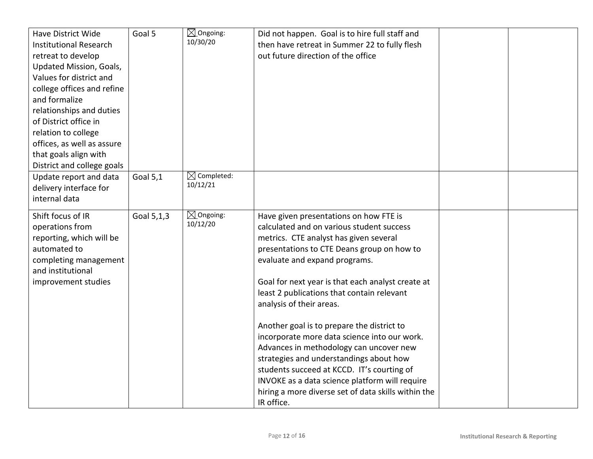| Have District Wide<br><b>Institutional Research</b><br>retreat to develop<br>Updated Mission, Goals,<br>Values for district and<br>college offices and refine<br>and formalize<br>relationships and duties<br>of District office in<br>relation to college<br>offices, as well as assure<br>that goals align with<br>District and college goals | Goal 5          | $\boxtimes$ Ongoing:<br>10/30/20   | Did not happen. Goal is to hire full staff and<br>then have retreat in Summer 22 to fully flesh<br>out future direction of the office                                                                                                                                                                                                                                                                                                                                                                                                                                                                                                                                                                |  |
|-------------------------------------------------------------------------------------------------------------------------------------------------------------------------------------------------------------------------------------------------------------------------------------------------------------------------------------------------|-----------------|------------------------------------|------------------------------------------------------------------------------------------------------------------------------------------------------------------------------------------------------------------------------------------------------------------------------------------------------------------------------------------------------------------------------------------------------------------------------------------------------------------------------------------------------------------------------------------------------------------------------------------------------------------------------------------------------------------------------------------------------|--|
| Update report and data<br>delivery interface for<br>internal data                                                                                                                                                                                                                                                                               | <b>Goal 5,1</b> | $\boxtimes$ Completed:<br>10/12/21 |                                                                                                                                                                                                                                                                                                                                                                                                                                                                                                                                                                                                                                                                                                      |  |
| Shift focus of IR<br>operations from<br>reporting, which will be<br>automated to<br>completing management<br>and institutional<br>improvement studies                                                                                                                                                                                           | Goal 5,1,3      | $\boxtimes$ Ongoing:<br>10/12/20   | Have given presentations on how FTE is<br>calculated and on various student success<br>metrics. CTE analyst has given several<br>presentations to CTE Deans group on how to<br>evaluate and expand programs.<br>Goal for next year is that each analyst create at<br>least 2 publications that contain relevant<br>analysis of their areas.<br>Another goal is to prepare the district to<br>incorporate more data science into our work.<br>Advances in methodology can uncover new<br>strategies and understandings about how<br>students succeed at KCCD. IT's courting of<br>INVOKE as a data science platform will require<br>hiring a more diverse set of data skills within the<br>IR office. |  |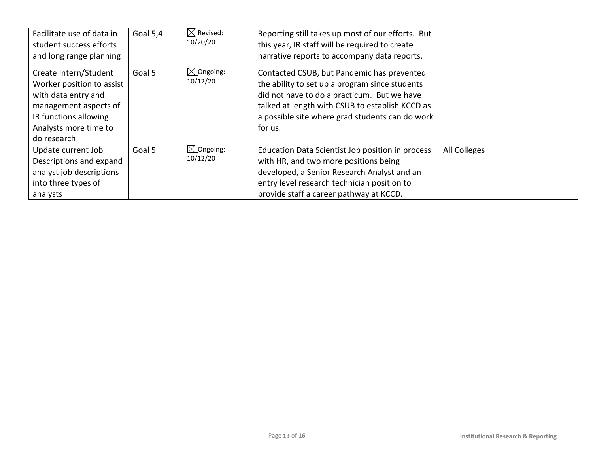| Facilitate use of data in<br>student success efforts<br>and long range planning                                                                                     | Goal 5,4 | $\boxtimes$ Revised:<br>10/20/20 | Reporting still takes up most of our efforts. But<br>this year, IR staff will be required to create<br>narrative reports to accompany data reports.                                                                                                          |              |  |
|---------------------------------------------------------------------------------------------------------------------------------------------------------------------|----------|----------------------------------|--------------------------------------------------------------------------------------------------------------------------------------------------------------------------------------------------------------------------------------------------------------|--------------|--|
| Create Intern/Student<br>Worker position to assist<br>with data entry and<br>management aspects of<br>IR functions allowing<br>Analysts more time to<br>do research | Goal 5   | $\boxtimes$ Ongoing:<br>10/12/20 | Contacted CSUB, but Pandemic has prevented<br>the ability to set up a program since students<br>did not have to do a practicum. But we have<br>talked at length with CSUB to establish KCCD as<br>a possible site where grad students can do work<br>for us. |              |  |
| Update current Job<br>Descriptions and expand<br>analyst job descriptions<br>into three types of<br>analysts                                                        | Goal 5   | $\boxtimes$ Ongoing:<br>10/12/20 | Education Data Scientist Job position in process<br>with HR, and two more positions being<br>developed, a Senior Research Analyst and an<br>entry level research technician position to<br>provide staff a career pathway at KCCD.                           | All Colleges |  |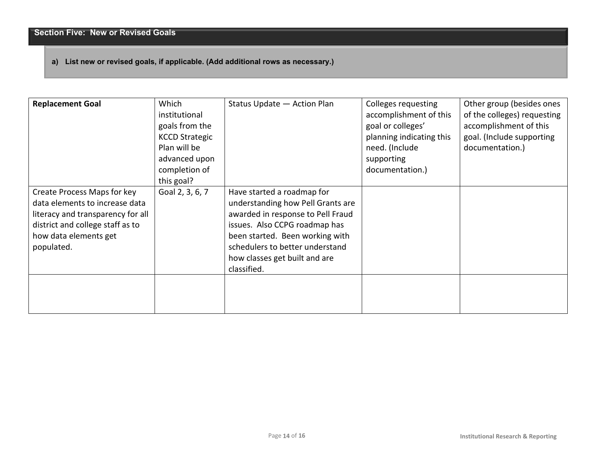# **a) List new or revised goals, if applicable. (Add additional rows as necessary.)**

| <b>Replacement Goal</b>                                                                                                                                                       | Which<br>institutional<br>goals from the<br><b>KCCD Strategic</b><br>Plan will be<br>advanced upon<br>completion of<br>this goal? | Status Update - Action Plan                                                                                                                                                                                                                                 | Colleges requesting<br>accomplishment of this<br>goal or colleges'<br>planning indicating this<br>need. (Include<br>supporting<br>documentation.) | Other group (besides ones<br>of the colleges) requesting<br>accomplishment of this<br>goal. (Include supporting<br>documentation.) |
|-------------------------------------------------------------------------------------------------------------------------------------------------------------------------------|-----------------------------------------------------------------------------------------------------------------------------------|-------------------------------------------------------------------------------------------------------------------------------------------------------------------------------------------------------------------------------------------------------------|---------------------------------------------------------------------------------------------------------------------------------------------------|------------------------------------------------------------------------------------------------------------------------------------|
| Create Process Maps for key<br>data elements to increase data<br>literacy and transparency for all<br>district and college staff as to<br>how data elements get<br>populated. | Goal 2, 3, 6, 7                                                                                                                   | Have started a roadmap for<br>understanding how Pell Grants are<br>awarded in response to Pell Fraud<br>issues. Also CCPG roadmap has<br>been started. Been working with<br>schedulers to better understand<br>how classes get built and are<br>classified. |                                                                                                                                                   |                                                                                                                                    |
|                                                                                                                                                                               |                                                                                                                                   |                                                                                                                                                                                                                                                             |                                                                                                                                                   |                                                                                                                                    |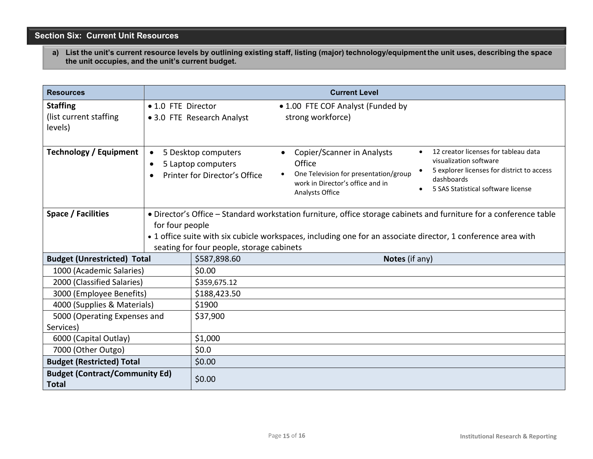**Section Six: Current Unit Resources**

a) List the unit's current resource levels by outlining existing staff, listing (major) technology/equipment the unit uses, describing the space **the unit occupies, and the unit's current budget.**

| <b>Resources</b>                                      |                                     |                                                                            | <b>Current Level</b>                                                                                                                                                                                                                                                                                     |
|-------------------------------------------------------|-------------------------------------|----------------------------------------------------------------------------|----------------------------------------------------------------------------------------------------------------------------------------------------------------------------------------------------------------------------------------------------------------------------------------------------------|
| <b>Staffing</b><br>(list current staffing<br>levels)  | • 1.0 FTE Director                  | • 3.0 FTE Research Analyst                                                 | • 1.00 FTE COF Analyst (Funded by<br>strong workforce)                                                                                                                                                                                                                                                   |
| <b>Technology / Equipment</b>                         | $\bullet$<br>$\bullet$<br>$\bullet$ | 5 Desktop computers<br>5 Laptop computers<br>Printer for Director's Office | 12 creator licenses for tableau data<br>Copier/Scanner in Analysts<br>visualization software<br>Office<br>5 explorer licenses for district to access<br>One Television for presentation/group<br>dashboards<br>work in Director's office and in<br>5 SAS Statistical software license<br>Analysts Office |
| Space / Facilities                                    | for four people                     | seating for four people, storage cabinets                                  | · Director's Office - Standard workstation furniture, office storage cabinets and furniture for a conference table<br>• 1 office suite with six cubicle workspaces, including one for an associate director, 1 conference area with                                                                      |
| <b>Budget (Unrestricted) Total</b>                    |                                     | \$587,898.60                                                               | Notes (if any)                                                                                                                                                                                                                                                                                           |
| 1000 (Academic Salaries)                              |                                     | \$0.00                                                                     |                                                                                                                                                                                                                                                                                                          |
| 2000 (Classified Salaries)                            |                                     | \$359,675.12                                                               |                                                                                                                                                                                                                                                                                                          |
| 3000 (Employee Benefits)                              |                                     | \$188,423.50                                                               |                                                                                                                                                                                                                                                                                                          |
| 4000 (Supplies & Materials)                           |                                     | \$1900                                                                     |                                                                                                                                                                                                                                                                                                          |
| 5000 (Operating Expenses and<br>Services)             |                                     | \$37,900                                                                   |                                                                                                                                                                                                                                                                                                          |
| 6000 (Capital Outlay)                                 |                                     | \$1,000                                                                    |                                                                                                                                                                                                                                                                                                          |
| 7000 (Other Outgo)                                    |                                     | \$0.0\$                                                                    |                                                                                                                                                                                                                                                                                                          |
| <b>Budget (Restricted) Total</b>                      |                                     | \$0.00                                                                     |                                                                                                                                                                                                                                                                                                          |
| <b>Budget (Contract/Community Ed)</b><br><b>Total</b> |                                     | \$0.00                                                                     |                                                                                                                                                                                                                                                                                                          |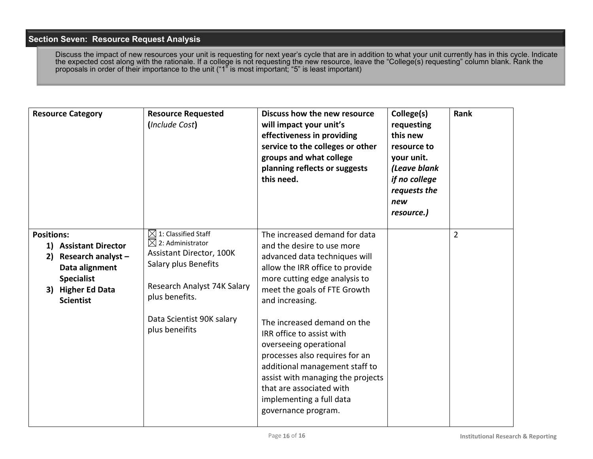# **Section Seven: Resource Request Analysis**

Discuss the impact of new resources your unit is requesting for next year's cycle that are in addition to what your unit currently has in this cycle. Indicate the expected cost along with the rationale. If a college is not requesting the new resource, leave the "College(s) requesting" column blank. Rank the proposals in order of their importance to the unit ("1" is most important; "5" is least important)

|                         | <b>Resource Category</b>                                                                                                   | <b>Resource Requested</b><br>(Include Cost)                                                                                                                                 | Discuss how the new resource<br>will impact your unit's<br>effectiveness in providing<br>service to the colleges or other<br>groups and what college<br>planning reflects or suggests<br>this need.                                                                        | College(s)<br>requesting<br>this new<br>resource to<br>your unit.<br>(Leave blank<br>if no college<br>requests the<br>new<br>resource.) | Rank           |
|-------------------------|----------------------------------------------------------------------------------------------------------------------------|-----------------------------------------------------------------------------------------------------------------------------------------------------------------------------|----------------------------------------------------------------------------------------------------------------------------------------------------------------------------------------------------------------------------------------------------------------------------|-----------------------------------------------------------------------------------------------------------------------------------------|----------------|
| <b>Positions:</b><br>2) | 1) Assistant Director<br>Research analyst-<br>Data alignment<br><b>Specialist</b><br>3) Higher Ed Data<br><b>Scientist</b> | $\boxtimes$ 1: Classified Staff<br>$\boxtimes$ 2: Administrator<br><b>Assistant Director, 100K</b><br>Salary plus Benefits<br>Research Analyst 74K Salary<br>plus benefits. | The increased demand for data<br>and the desire to use more<br>advanced data techniques will<br>allow the IRR office to provide<br>more cutting edge analysis to<br>meet the goals of FTE Growth<br>and increasing.                                                        |                                                                                                                                         | $\overline{2}$ |
|                         |                                                                                                                            | Data Scientist 90K salary<br>plus beneifits                                                                                                                                 | The increased demand on the<br>IRR office to assist with<br>overseeing operational<br>processes also requires for an<br>additional management staff to<br>assist with managing the projects<br>that are associated with<br>implementing a full data<br>governance program. |                                                                                                                                         |                |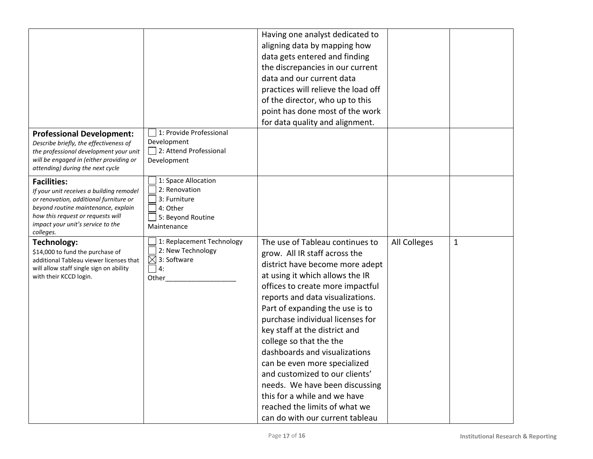|                                                                                                                                                                                                                                        |                                                                                                             | Having one analyst dedicated to                                                                                                                                                                                                                                                                                                                                                                                                                                                                                                                         |              |              |
|----------------------------------------------------------------------------------------------------------------------------------------------------------------------------------------------------------------------------------------|-------------------------------------------------------------------------------------------------------------|---------------------------------------------------------------------------------------------------------------------------------------------------------------------------------------------------------------------------------------------------------------------------------------------------------------------------------------------------------------------------------------------------------------------------------------------------------------------------------------------------------------------------------------------------------|--------------|--------------|
|                                                                                                                                                                                                                                        |                                                                                                             | aligning data by mapping how                                                                                                                                                                                                                                                                                                                                                                                                                                                                                                                            |              |              |
|                                                                                                                                                                                                                                        |                                                                                                             | data gets entered and finding                                                                                                                                                                                                                                                                                                                                                                                                                                                                                                                           |              |              |
|                                                                                                                                                                                                                                        |                                                                                                             | the discrepancies in our current                                                                                                                                                                                                                                                                                                                                                                                                                                                                                                                        |              |              |
|                                                                                                                                                                                                                                        |                                                                                                             | data and our current data                                                                                                                                                                                                                                                                                                                                                                                                                                                                                                                               |              |              |
|                                                                                                                                                                                                                                        |                                                                                                             | practices will relieve the load off                                                                                                                                                                                                                                                                                                                                                                                                                                                                                                                     |              |              |
|                                                                                                                                                                                                                                        |                                                                                                             | of the director, who up to this                                                                                                                                                                                                                                                                                                                                                                                                                                                                                                                         |              |              |
|                                                                                                                                                                                                                                        |                                                                                                             | point has done most of the work                                                                                                                                                                                                                                                                                                                                                                                                                                                                                                                         |              |              |
|                                                                                                                                                                                                                                        |                                                                                                             | for data quality and alignment.                                                                                                                                                                                                                                                                                                                                                                                                                                                                                                                         |              |              |
| <b>Professional Development:</b><br>Describe briefly, the effectiveness of<br>the professional development your unit<br>will be engaged in (either providing or<br>attending) during the next cycle                                    | 1: Provide Professional<br>Development<br>2: Attend Professional<br>Development                             |                                                                                                                                                                                                                                                                                                                                                                                                                                                                                                                                                         |              |              |
| <b>Facilities:</b><br>If your unit receives a building remodel<br>or renovation, additional furniture or<br>beyond routine maintenance, explain<br>how this request or requests will<br>impact your unit's service to the<br>colleges. | 1: Space Allocation<br>2: Renovation<br>3: Furniture<br>$\Box$ 4: Other<br>5: Beyond Routine<br>Maintenance |                                                                                                                                                                                                                                                                                                                                                                                                                                                                                                                                                         |              |              |
| <b>Technology:</b><br>\$14,000 to fund the purchase of<br>additional Tableau viewer licenses that<br>will allow staff single sign on ability<br>with their KCCD login.                                                                 | 1: Replacement Technology<br>2: New Technology<br>$\boxtimes$ 3: Software<br>$\Box$ 4:<br>Other             | The use of Tableau continues to<br>grow. All IR staff across the<br>district have become more adept<br>at using it which allows the IR<br>offices to create more impactful<br>reports and data visualizations.<br>Part of expanding the use is to<br>purchase individual licenses for<br>key staff at the district and<br>college so that the the<br>dashboards and visualizations<br>can be even more specialized<br>and customized to our clients'<br>needs. We have been discussing<br>this for a while and we have<br>reached the limits of what we | All Colleges | $\mathbf{1}$ |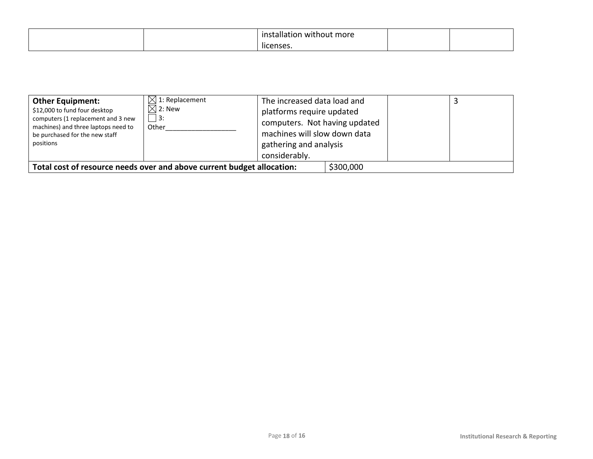|  | .<br>installation<br>without more |  |
|--|-----------------------------------|--|
|  | . .<br>licenses.                  |  |

| <b>Other Equipment:</b><br>\$12,000 to fund four desktop<br>computers (1 replacement and 3 new<br>machines) and three laptops need to<br>be purchased for the new staff<br>positions | $\boxtimes$ 1: Replacement<br>$\boxtimes$ 2: New<br>$\vert$ 3:<br>Other | The increased data load and<br>platforms require updated<br>computers. Not having updated<br>machines will slow down data<br>gathering and analysis<br>considerably. |           |  |
|--------------------------------------------------------------------------------------------------------------------------------------------------------------------------------------|-------------------------------------------------------------------------|----------------------------------------------------------------------------------------------------------------------------------------------------------------------|-----------|--|
| Total cost of resource needs over and above current budget allocation:                                                                                                               |                                                                         |                                                                                                                                                                      | \$300,000 |  |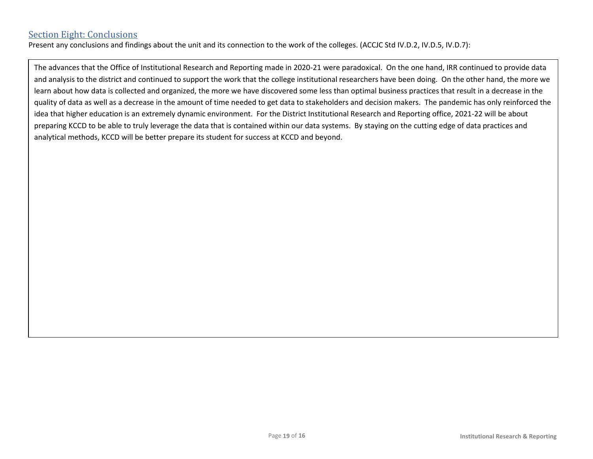# Section Eight: Conclusions

Present any conclusions and findings about the unit and its connection to the work of the colleges. (ACCJC Std IV.D.2, IV.D.5, IV.D.7):

The advances that the Office of Institutional Research and Reporting made in 2020-21 were paradoxical. On the one hand, IRR continued to provide data and analysis to the district and continued to support the work that the college institutional researchers have been doing. On the other hand, the more we learn about how data is collected and organized, the more we have discovered some less than optimal business practices that result in a decrease in the quality of data as well as a decrease in the amount of time needed to get data to stakeholders and decision makers. The pandemic has only reinforced the idea that higher education is an extremely dynamic environment. For the District Institutional Research and Reporting office, 2021-22 will be about preparing KCCD to be able to truly leverage the data that is contained within our data systems. By staying on the cutting edge of data practices and analytical methods, KCCD will be better prepare its student for success at KCCD and beyond.